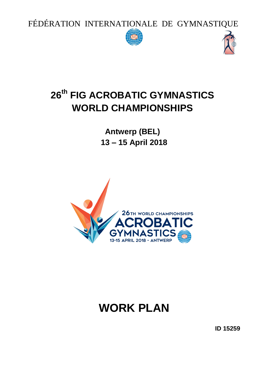FÉDÉRATION INTERNATIONALE DE GYMNASTIQUE





## **26 th FIG ACROBATIC GYMNASTICS WORLD CHAMPIONSHIPS**

**Antwerp (BEL) 13 – 15 April 2018**



# **WORK PLAN**

**ID 15259**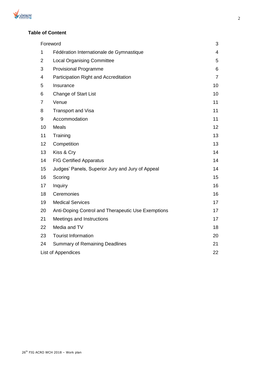

## **Table of Content**

| Foreword           | 3                                                  |                |
|--------------------|----------------------------------------------------|----------------|
| 1                  | Fédération Internationale de Gymnastique           | $\overline{4}$ |
| 2                  | <b>Local Organising Committee</b>                  | 5              |
| 3                  | <b>Provisional Programme</b>                       | 6              |
| 4                  | Participation Right and Accreditation              | $\overline{7}$ |
| 5                  | Insurance                                          | 10             |
| 6                  | <b>Change of Start List</b>                        | 10             |
| $\overline{7}$     | Venue                                              | 11             |
| 8                  | <b>Transport and Visa</b>                          | 11             |
| 9                  | Accommodation                                      | 11             |
| 10                 | <b>Meals</b>                                       | 12             |
| 11                 | Training                                           | 13             |
| 12                 | Competition                                        | 13             |
| 13                 | Kiss & Cry                                         | 14             |
| 14                 | <b>FIG Certified Apparatus</b>                     | 14             |
| 15                 | Judges' Panels, Superior Jury and Jury of Appeal   | 14             |
| 16                 | Scoring                                            | 15             |
| 17                 | Inquiry                                            | 16             |
| 18                 | Ceremonies                                         | 16             |
| 19                 | <b>Medical Services</b>                            | 17             |
| 20                 | Anti-Doping Control and Therapeutic Use Exemptions | 17             |
| 21                 | Meetings and Instructions                          | 17             |
| 22                 | Media and TV                                       | 18             |
| 23                 | <b>Tourist Information</b>                         | 20             |
| 24                 | <b>Summary of Remaining Deadlines</b>              | 21             |
| List of Appendices |                                                    |                |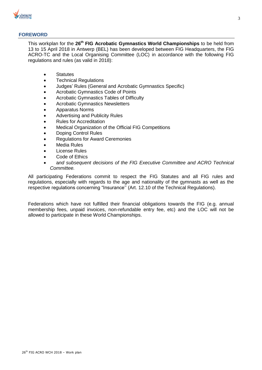

## **FOREWORD**

This workplan for the **26 th FIG Acrobatic Gymnastics World Championships** to be held from 13 to 15 April 2018 in Antwerp (BEL) has been developed between FIG Headquarters, the FIG ACRO-TC and the Local Organising Committee (LOC) in accordance with the following FIG regulations and rules (as valid in 2018):

- Statutes
- Technical Regulations
- Judges' Rules (General and Acrobatic Gymnastics Specific)
- Acrobatic Gymnastics Code of Points
- Acrobatic Gymnastics Tables of Difficulty
- Acrobatic Gymnastics Newsletters
- Apparatus Norms
- Advertising and Publicity Rules
- Rules for Accreditation
- Medical Organization of the Official FIG Competitions
- Doping Control Rules
- Regulations for Award Ceremonies
- Media Rules
- License Rules
- Code of Ethics
- a*nd subsequent decisions of the FIG Executive Committee and ACRO Technical Committee.*

All participating Federations commit to respect the FIG Statutes and all FIG rules and regulations, especially with regards to the age and nationality of the gymnasts as well as the respective regulations concerning "Insurance'' (Art. 12.10 of the Technical Regulations).

Federations which have not fulfilled their financial obligations towards the FIG (e.g. annual membership fees, unpaid invoices, non-refundable entry fee, etc) and the LOC will not be allowed to participate in these World Championships.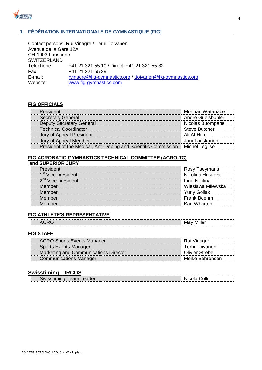

## **1. FÉDÉRATION INTERNATIONALE DE GYMNASTIQUE (FIG)**

Contact persons: Rui Vinagre / Terhi Toivanen Avenue de la Gare 12A CH-1003 Lausanne **SWITZERLAND** Telephone: +41 21 321 55 10 / Direct: +41 21 321 55 32 Fax: +41 21 321 55 29 E-mail: [rvinagre@fig-gymnastics.org](mailto:rvinagre@fig-gymnastics.org) / [ttoivanen@fig-gymnastics.org](mailto:ttoivanen@fig-gymnastics.org) Website: [www.fig-gymnastics.com](http://www.fig-gymnastics.com/)

## **FIG OFFICIALS**

| President                                                       | Morinari Watanabe    |
|-----------------------------------------------------------------|----------------------|
| <b>Secretary General</b>                                        | André Gueisbuhler    |
| <b>Deputy Secretary General</b>                                 | Nicolas Buompane     |
| <b>Technical Coordinator</b>                                    | <b>Steve Butcher</b> |
| Jury of Appeal President                                        | Ali Al-Hitmi         |
| Jury of Appeal Member                                           | Jani Tanskanen       |
| President of the Medical, Anti-Doping and Scientific Commission | Michel Leglise       |

## **FIG ACROBATIC GYMNASTICS TECHNICAL COMMITTEE (ACRO-TC)**

|  |  | and SUPERIOR JURY |
|--|--|-------------------|
|  |  |                   |

| President                      | Rosy Taeymans       |
|--------------------------------|---------------------|
| 1 <sup>st</sup> Vice-president | Nikolina Hristova   |
| 2 <sup>nd</sup> Vice-president | Irina Nikitina      |
| Member                         | Wieslawa Milewska   |
| Member                         | <b>Yuriy Goliak</b> |
| Member                         | Frank Boehm         |
| Member                         | Karl Wharton        |

## **FIG ATHLETE'S REPRESENTATIVE**

| $- - -$<br>M.<br>Δ(<br>. .<br>$\overline{\phantom{a}}$ |  |
|--------------------------------------------------------|--|

## **FIG STAFF**

| <b>ACRO Sports Events Manager</b>     | Rui Vinagre            |
|---------------------------------------|------------------------|
| <b>Sports Events Manager</b>          | Terhi Toivanen         |
| Marketing and Communications Director | <b>Olivier Strebel</b> |
| <b>Communications Manager</b>         | Meike Behrensen        |

## **Swisstiming – IRCOS**

| Colli<br>.<br>eader<br>Wh.<br><b>WISSIL</b><br>- 11<br>cau |
|------------------------------------------------------------|
|------------------------------------------------------------|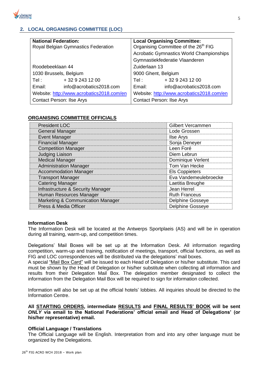

## **2. LOCAL ORGANISING COMMITTEE (LOC)**

| <b>National Federation:</b>               | <b>Local Organising Committee:</b>               |  |
|-------------------------------------------|--------------------------------------------------|--|
| Royal Belgian Gymnastics Federation       | Organising Committee of the 26 <sup>th</sup> FIG |  |
|                                           | <b>Acrobatic Gymnastics World Championships</b>  |  |
|                                           | Gymnastiekfederatie Vlaanderen                   |  |
| Roodebeeklaan 44                          | Zuiderlaan 13                                    |  |
| 1030 Brussels, Belgium                    | 9000 Ghent, Belgium                              |  |
| + 32 9 243 12 00<br>Tel:                  | + 32 9 243 12 00<br>Tel : l                      |  |
| Email:<br>info@acrobatics2018.com         | Email:<br>info@acrobatics2018.com                |  |
| Website: http://www.acrobatics2018.com/en | Website: http://www.acrobatics2018.com/en        |  |
| <b>Contact Person: Ilse Arys</b>          | <b>Contact Person: Ilse Arys</b>                 |  |

## **ORGANISING COMMITTEE OFFICIALS**

| <b>President LOC</b>              | Gilbert Vercammen       |
|-----------------------------------|-------------------------|
| <b>General Manager</b>            | Lode Grossen            |
| <b>Event Manager</b>              | <b>Ilse Arys</b>        |
| <b>Financial Manager</b>          | Sonja Deneyer           |
| <b>Competition Manager</b>        | Leen Foré               |
| <b>Judging Liaison</b>            | Diem Lebrun             |
| <b>Medical Manager</b>            | Dominique Verlent       |
| <b>Administration Manager</b>     | Tom Van Hecke           |
| <b>Accommodation Manager</b>      | <b>Els Coppieters</b>   |
| <b>Transport Manager</b>          | Eva Vandemeulebroecke   |
| <b>Catering Manager</b>           | Laetitia Breughe        |
| Infrastructure & Security Manager | Jean Herrel             |
| Human Resources Manager           | <b>Ruth Franceus</b>    |
| Marketing & Communication Manager | <b>Delphine Gosseye</b> |
| Press & Media Officer             | <b>Delphine Gosseye</b> |

## **Information Desk**

The Information Desk will be located at the Antwerps Sportplaeis (AS) and will be in operation during all training, warm-up, and competition times.

Delegations' Mail Boxes will be set up at the Information Desk. All information regarding competition, warm-up and training, notification of meetings, transport, official functions, as well as FIG and LOC correspondences will be distributed via the delegations' mail boxes.

A special "Mail Box Card" will be issued to each Head of Delegation or his/her substitute. This card must be shown by the Head of Delegation or his/her substitute when collecting all information and results from their Delegation Mail Box. The delegation member designated to collect the information from the Delegation Mail Box will be required to sign for information collected.

Information will also be set up at the official hotels' lobbies. All inquiries should be directed to the Information Centre.

**All STARTING ORDERS, intermediate RESULTS and FINAL RESULTS' BOOK will be sent**  *ONLY* **via email to the National Federations' official email and Head of Delegations' (or his/her representative) email.**

## **Official Language / Translations**

The Official Language will be English. Interpretation from and into any other language must be organized by the Delegations.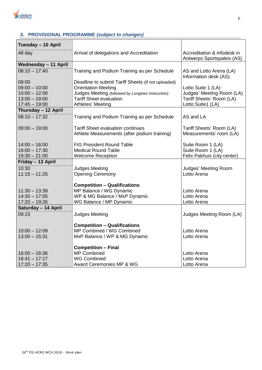

## **3. PROVISIONAL PROGRAMME** *(subject to changes)*

| Tuesday - 10 April          |                                                    |                                                           |
|-----------------------------|----------------------------------------------------|-----------------------------------------------------------|
| All day                     | Arrival of delegations and Accreditation           | Accreditation & infodesk in<br>Antwerps Sportspaleis (AS) |
| <b>Wednesday - 11 April</b> |                                                    |                                                           |
| $08:10 - 17:40$             | Training and Podium Training as per Schedule       | AS and Lotto Arena (LA)<br>Information desk (AS)          |
| 08:00                       | Deadline to submit Tariff Sheets (if not uploaded) |                                                           |
| $09:00 - 10:00$             | <b>Orientation Meeting</b>                         | Lotto Suite 1 (LA)                                        |
| $10:00 - 12:00$             | Judges Meeting (followed by Longines Instruction)  | Judges' Meeting Room (LA)                                 |
| $13:00 - 19:00$             | <b>Tariff Sheet evaluation</b>                     | Tariff Sheets' Room (LA)                                  |
| $17:45 - 19:00$             | Athletes' Meeting                                  | Lotto Suite1 (LA)                                         |
| Thursday - 12 April         |                                                    |                                                           |
| $08:10 - 17:32$             | Training and Podium Training as per Schedule       | AS and LA                                                 |
| $09:00 - 19:00$             | <b>Tariff Sheet evaluation continues</b>           | Tariff Sheets' Room (LA)                                  |
|                             | Athlete Measurements (after podium training)       | Measurements' room (LA)                                   |
| $14:00 - 16:00$             | <b>FIG President Round Table</b>                   | Suite Room 1 (LA)                                         |
| $16:00 - 17:30$             | <b>Medical Round Table</b>                         | Suite Room 1 (LA)                                         |
| $19:30 - 21:00$             | <b>Welcome Reception</b>                           | Felix Pakhuis (city center)                               |
| Friday - 13 April           |                                                    |                                                           |
| 10:30                       | <b>Judges Meeting</b>                              | Judges' Meeting Room                                      |
| $11:15 - 11:25$             | <b>Opening Ceremony</b>                            | Lotto Arena                                               |
|                             |                                                    |                                                           |
|                             | <b>Competition - Qualifications</b>                |                                                           |
| $11:30 - 13:39$             | MP Balance / WG Dynamic                            | Lotto Arena                                               |
| $14:30 - 17:05$             | WP & MG Balance / MxP Dynamic                      | Lotto Arena                                               |
| $17:20 - 19:26$             | WG Balance / MP Dynamic                            | Lotto Arena                                               |
| Saturday - 14 April         |                                                    |                                                           |
| 09:15                       | <b>Judges Meeting</b>                              | Judges Meeting Room (LA)                                  |
|                             | <b>Competition - Qualifications</b>                |                                                           |
| $10:00 - 12:09$             | MP Combined / WG Combined                          | Lotto Arena                                               |
| $13:00 - 15:31$             | MxP Balance / WP & MG Dynamic                      | Lotto Arena                                               |
|                             |                                                    |                                                           |
|                             | <b>Competition - Final</b>                         |                                                           |
| $16:00 - 16:36$             | <b>MP Combined</b>                                 | Lotto Arena                                               |
| $16:41 - 17:17$             | <b>WG Combined</b>                                 | Lotto Arena                                               |
| $17:20 - 17:35$             | Award Ceremonies MP & WG                           | Lotto Arena                                               |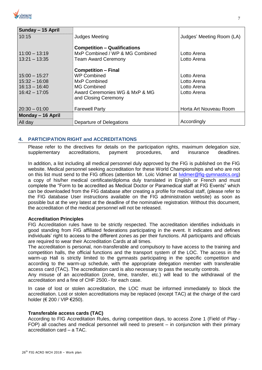| <b>CROBATIC</b><br><b>GYMNASTICS</b> |
|--------------------------------------|
|                                      |

| Sunday - 15 April                  |                                                                                                      |                            |
|------------------------------------|------------------------------------------------------------------------------------------------------|----------------------------|
| 10:15                              | <b>Judges Meeting</b>                                                                                | Judges' Meeting Room (LA)  |
| $11:00 - 13:19$<br>$13:21 - 13:35$ | <b>Competition - Qualifications</b><br>MxP Combined / WP & MG Combined<br><b>Team Award Ceremony</b> | Lotto Arena<br>Lotto Arena |
|                                    | <b>Competition - Final</b>                                                                           |                            |
| $15:00 - 15:27$                    | <b>WP Combined</b>                                                                                   | Lotto Arena                |
| $15:32 - 16:08$                    | MxP Combined                                                                                         | Lotto Arena                |
| $16:13 - 16:40$                    | MG Combined                                                                                          | Lotto Arena                |
| $16:42 - 17:05$                    | Award Ceremonies WG & MxP & MG<br>and Closing Ceremony                                               | Lotto Arena                |
| $20:30 - 01:00$                    | <b>Farewell Party</b>                                                                                | Horta Art Nouveau Room     |
| Monday - 16 April                  |                                                                                                      |                            |
| All day                            | Departure of Delegations                                                                             | Accordingly                |

## **4. PARTICIPATION RIGHT and ACCREDITATIONS**

Please refer to the directives for details on the participation rights, maximum delegation size, supplementary accreditations, payment procedures, and insurance deadlines.

In addition, a list including all medical personnel duly approved by the FIG is published on the FIG website. Medical personnel seeking accreditation for these World Championships and who are not on this list must send to the FIG offices (attention Mr. Loïc Vidmer at *Ividmer@fig-gymnastics.org*) a copy of his/her medical certificate/diploma duly translated in English or French and must complete the "Form to be accredited as Medical Doctor or Paramedical staff at FIG Events" which can be downloaded from the FIG database after creating a profile for medical staff, (please refer to the FIG database User instructions available on the FIG administration website) as soon as possible but at the very latest at the deadline of the nominative registration. Without this document, the accreditation of the medical personnel will not be released.

## **Accreditation Principles**

FIG Accreditation rules have to be strictly respected. The accreditation identifies individuals in good standing from FIG affiliated federations participating in the event. It indicates and defines individuals' right to access to the different zones as per their functions. All participants and officials are required to wear their Accreditation Cards at all times.

The accreditation is personal, non-transferable and compulsory to have access to the training and competition halls, the official functions and the transport system of the LOC. The access in the warm-up Hall is strictly limited to the gymnasts participating in the specific competition and according to the warm-up schedule, with the appropriate delegation member with transferable access card (TAC). The accreditation card is also necessary to pass the security controls.

Any misuse of an accreditation (zone, time, transfer, etc.) will lead to the withdrawal of the accreditation and a fine of CHF 2500.- for each case.

In case of lost or stolen accreditation, the LOC must be informed immediately to block the accreditation. Lost or stolen accreditations may be replaced (except TAC) at the charge of the card holder (€ 200 / VIP €250).

## **Transferable access cards (TAC)**

According to FIG Accreditation Rules, during competition days, to access Zone 1 (Field of Play - FOP) all coaches and medical personnel will need to present – in conjunction with their primary accreditation card – a TAC.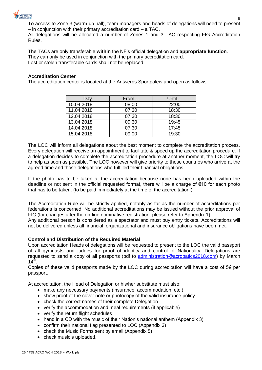

To access to Zone 3 (warm-up hall), team managers and heads of delegations will need to present – in conjunction with their primary accreditation card – a TAC.

All delegations will be allocated a number of Zones 1 and 3 TAC respecting FIG Accreditation Rules.

The TACs are only transferable **within** the NF's official delegation and **appropriate function**. They can only be used in conjunction with the primary accreditation card. Lost or stolen transferable cards shall not be replaced.

## **Accreditation Center**

The accreditation center is located at the Antwerps Sportpaleis and open as follows:

| Day        | From  | Until |
|------------|-------|-------|
| 10.04.2018 | 08:00 | 22:00 |
| 11.04.2018 | 07:30 | 18:30 |
| 12.04.2018 | 07:30 | 18:30 |
| 13.04.2018 | 09:30 | 19:45 |
| 14.04.2018 | 07:30 | 17:45 |
| 15.04.2018 | 09:00 | 19:30 |

The LOC will inform all delegations about the best moment to complete the accreditation process. Every delegation will receive an appointment to facilitate & speed up the accreditation procedure. If a delegation decides to complete the accreditation procedure at another moment, the LOC will try to help as soon as possible. The LOC however will give priority to those countries who arrive at the agreed time and those delegations who fulfilled their financial obligations.

If the photo has to be taken at the accreditation because none has been uploaded within the deadline or not sent in the official requested format, there will be a charge of €10 for each photo that has to be taken. (to be paid immediately at the time of the accreditation!)

The Accreditation Rule will be strictly applied, notably as far as the number of accreditations per federations is concerned. No additional accreditations may be issued without the prior approval of FIG (for changes after the on-line nominative registration, please refer to Appendix 1).

Any additional person is considered as a spectator and must buy entry tickets. Accreditations will not be delivered unless all financial, organizational and insurance obligations have been met.

## **Control and Distribution of the Required Material**

Upon accreditation Heads of delegations will be requested to present to the LOC the valid passport of all gymnasts and judges for proof of identity and control of Nationality. Delegations are requested to send a copy of all passports (pdf to [administration@acrobatics2018.com\)](mailto:administration@acrobatics2018.com) by March  $14^{\text{th}}$ .

Copies of these valid passports made by the LOC during accreditation will have a cost of  $5 \in \mathsf{per}$ passport.

At accreditation, the Head of Delegation or his/her substitute must also:

- make any necessary payments (insurance, accommodation, etc.)
- show proof of the cover note or photocopy of the valid insurance policy
- check the correct names of their complete Delegation
- verify the accommodation and meal requirements (if applicable)
- verify the return flight schedules
- hand in a CD with the music of their Nation's national anthem (Appendix 3)
- confirm their national flag presented to LOC (Appendix 3)
- check the Music Forms sent by email (Appendix 5)
- check music's uploaded.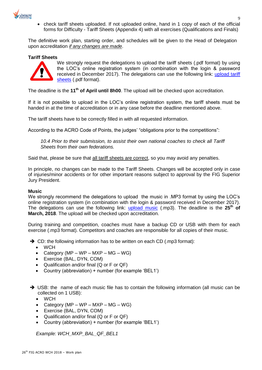

 check tariff sheets uploaded. If not uploaded online, hand in 1 copy of each of the official forms for Difficulty - Tariff Sheets (Appendix 4) with all exercises (Qualifications and Finals)

The definitive work plan, starting order, and schedules will be given to the Head of Delegation upon accreditation *if any changes are made*.

## **Tariff Sheets**



We strongly request the delegations to upload the tariff sheets (.pdf format) by using the LOC's online registration system (in combination with the login & password received in December 2017). The delegations can use the following link: [upload tariff](https://www.asignia.eu/e3webonline/login.xhtml)  [sheets](https://www.asignia.eu/e3webonline/login.xhtml) (.pdf format).

The deadline is the **11th of April until 8h00**. The upload will be checked upon accreditation.

If it is not possible to upload in the LOC's online registration system, the tariff sheets must be handed in at the time of accreditation or in any case before the deadline mentioned above.

The tariff sheets have to be correctly filled in with all requested information.

According to the ACRO Code of Points, the judges' "obligations prior to the competitions":

*10.4 Prior to their submission, to assist their own national coaches to check all Tariff Sheets from their own federations.*

Said that, please be sure that all tariff sheets are correct, so you may avoid any penalties.

In principle, no changes can be made to the Tariff Sheets. Changes will be accepted only in case of injuries/minor accidents or for other important reasons subject to approval by the FIG Superior Jury President.

## **Music**

We strongly recommend the delegations to upload the music in .MP3 format by using the LOC's online registration system (in combination with the login & password received in December 2017). The delegations can use the following link: [upload music](https://www.asignia.eu/e3webonline/login.xhtml) (.mp3). The deadline is the **25th of March, 2018**. The upload will be checked upon accreditation.

During training and competition, coaches must have a backup CD or USB with them for each exercise (.mp3 format). Competitors and coaches are responsible for all copies of their music.

- $\rightarrow$  CD: the following information has to be written on each CD (.mp3 format):
	- WCH
	- Category (MP WP MXP MG WG)
	- Exercise (BAL, DYN, COM)
	- Qualification and/or final (Q or F or QF)
	- Country (abbreviation) + number (for example 'BEL1')
- → USB: the name of each music file has to contain the following information (all music can be collected on 1 USB):
	- WCH
	- Category (MP WP MXP MG WG)
	- Exercise (BAL, DYN, COM)
	- Qualification and/or final (Q or F or QF)
	- Country (abbreviation) + number (for example 'BEL1')

*Example: WCH\_MXP\_BAL\_QF\_BEL1*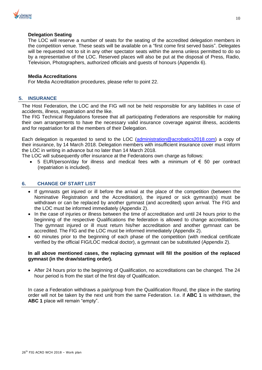

## **Delegation Seating**

The LOC will reserve a number of seats for the seating of the accredited delegation members in the competition venue. These seats will be available on a "first come first served basis". Delegates will be requested not to sit in any other spectator seats within the arena unless permitted to do so by a representative of the LOC. Reserved places will also be put at the disposal of Press, Radio, Television, Photographers, authorized officials and guests of honours (Appendix 6).

## **Media Accreditations**

For Media Accreditation procedures, please refer to point 22.

## **5. INSURANCE**

The Host Federation, the LOC and the FIG will not be held responsible for any liabilities in case of accidents, illness, repatriation and the like.

The FIG Technical Regulations foresee that all participating Federations are responsible for making their own arrangements to have the necessary valid insurance coverage against illness, accidents and for repatriation for all the members of their Delegation.

Each delegation is requested to send to the LOC [\(administration@acrobatics2018.com\)](mailto:administration@acrobatics2018.com) a copy of their insurance, by 14 March 2018. Delegation members with insufficient insurance cover must inform the LOC in writing in advance but no later than 14 March 2018.

The LOC will subsequently offer insurance at the Federations own charge as follows:

5 EUR/person/day for illness and medical fees with a minimum of € 50 per contract (repatriation is included).

## **6. CHANGE OF START LIST**

- If gymnasts get injured or ill before the arrival at the place of the competition (between the Nominative Registration and the Accreditation), the injured or sick gymnast(s) must be withdrawn or can be replaced by another gymnast (and accredited) upon arrival. The FIG and the LOC must be informed immediately (Appendix 2).
- In the case of injuries or illness between the time of accreditation and until 24 hours prior to the beginning of the respective Qualifications the federation is allowed to change accreditations. The gymnast injured or ill must return his/her accreditation and another gymnast can be accredited. The FIG and the LOC must be informed immediately (Appendix 2).
- 60 minutes prior to the beginning of each phase of the competition (with medical certificate verified by the official FIG/LOC medical doctor), a gymnast can be substituted (Appendix 2).

## **In all above mentioned cases, the replacing gymnast will fill the position of the replaced gymnast (in the draw/starting order).**

• After 24 hours prior to the beginning of Qualification, no accreditations can be changed. The 24 hour period is from the start of the first day of Qualification.

In case a Federation withdraws a pair/group from the Qualification Round, the place in the starting order will not be taken by the next unit from the same Federation. I.e. if **ABC 1** is withdrawn, the **ABC 1** place will remain "empty".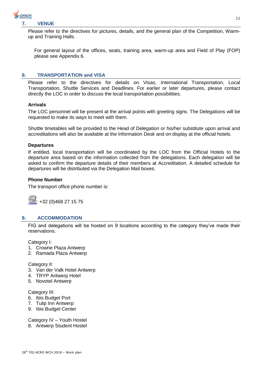

Please refer to the directives for pictures, details, and the general plan of the Competition, Warmup and Training Halls.

For general layout of the offices, seats, training area, warm-up area and Field of Play (FOP) please see Appendix 6.

## **8. TRANSPORTATION and VISA**

Please refer to the directives for details on Visas, International Transportation, Local Transportation, Shuttle Services and Deadlines. For earlier or later departures, please contact directly the LOC in order to discuss the local transportation possibilities.

#### **Arrivals**

The LOC personnel will be present at the arrival points with greeting signs. The Delegations will be requested to make its ways to meet with them.

Shuttle timetables will be provided to the Head of Delegation or his/her substitute upon arrival and accreditations will also be available at the Information Desk and on display at the official hotels.

#### **Departures**

If entitled, local transportation will be coordinated by the LOC from the Official Hotels to the departure area based on the information collected from the delegations. Each delegation will be asked to confirm the departure details of their members at Accreditation. A detailed schedule for departures will be distributed via the Delegation Mail boxes.

## **Phone Number**

The transport office phone number is:



## **9. ACCOMMODATION**

FIG and delegations will be hosted on 9 locations according to the category they've made their reservations.

Category I:

- 1. Crowne Plaza Antwerp
- 2. Ramada Plaza Antwerp

Category II:

- 3. Van der Valk Hotel Antwerp
- 4. TRYP Antwerp Hotel
- 5. Novotel Antwerp

Category III:

- 6. Ibis Budget Port
- 7. Tulip Inn Antwerp
- 9. Ibis Budget Center

Category IV – Youth Hostel

8. Antwerp Student Hostel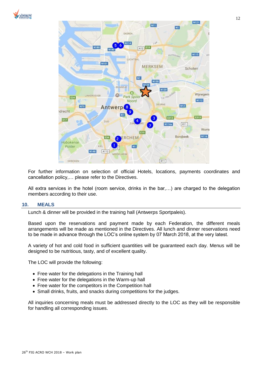



For further information on selection of official Hotels, locations, payments coordinates and cancellation policy,… please refer to the Directives.

All extra services in the hotel (room service, drinks in the bar,…) are charged to the delegation members according to their use.

## **10. MEALS**

Lunch & dinner will be provided in the training hall (Antwerps Sportpaleis).

Based upon the reservations and payment made by each Federation, the different meals arrangements will be made as mentioned in the Directives. All lunch and dinner reservations need to be made in advance through the LOC's online system by 07 March 2018, at the very latest.

A variety of hot and cold food in sufficient quantities will be guaranteed each day. Menus will be designed to be nutritious, tasty, and of excellent quality.

The LOC will provide the following:

- Free water for the delegations in the Training hall
- Free water for the delegations in the Warm-up hall
- Free water for the competitors in the Competition hall
- Small drinks, fruits, and snacks during competitions for the judges.

All inquiries concerning meals must be addressed directly to the LOC as they will be responsible for handling all corresponding issues.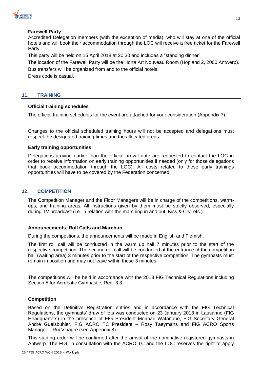

## **Farewell Party**

Accredited Delegation members (with the exception of media), who will stay at one of the official hotels and will book their accommodation through the LOC will receive a free ticket for the Farewell Party.

This party will be held on 15 April 2018 at 20:30 and includes a "standing dinner".

The location of the Farewell Party will be the Horta Art Nouveau Room (Hopland 2, 2000 Antwerp). Bus transfers will be organized from and to the official hotels.

Dress code is casual.

## **11. TRAINING**

## **Official training schedules**

The official training schedules for the event are attached for your consideration (Appendix 7).

Changes to the official scheduled training hours will not be accepted and delegations must respect the designated training times and the allocated areas.

## **Early training opportunities**

Delegations arriving earlier than the official arrival date are requested to contact the LOC in order to receive information on early training opportunities if needed (only for those delegations that book accommodation through the LOC). All costs related to these early trainings opportunities will have to be covered by the Federation concerned.

## **12. COMPETITION**

The Competition Manager and the Floor Managers will be in charge of the competitions, warmups, and training areas. All instructions given by them must be strictly observed, especially during TV broadcast (i.e. in relation with the marching in and out, Kiss & Cry, etc.).

## **Announcements, Roll Calls and March-in**

During the competitions, the announcements will be made in English and Flemish.

The first roll call will be conducted in the warm up hall 7 minutes prior to the start of the respective competition. The second roll call will be conducted at the entrance of the competition hall (waiting area) 3 minutes prior to the start of the respective competition. The gymnasts must remain in position and may not leave within these 3 minutes.

The competitions will be held in accordance with the 2018 FIG Technical Regulations including Section 5 for Acrobatic Gymnastic, Reg. 3.3.

## **Competition**

Based on the Definitive Registration entries and in accordance with the FIG Technical Regulations, the gymnasts' draw of lots was conducted on 23 January 2018 in Lausanne (FIG Headquarters) in the presence of FIG President Morinari Watanabe, FIG Secretary General André Gueisbuhler, FIG ACRO TC President – Rosy Taeymans and FIG ACRO Sports Manager – Rui Vinagre (see Appendix 8).

This starting order will be confirmed after the arrival of the nominative registered gymnasts in Antwerp. The FIG, in consultation with the ACRO TC and the LOC reserves the right to apply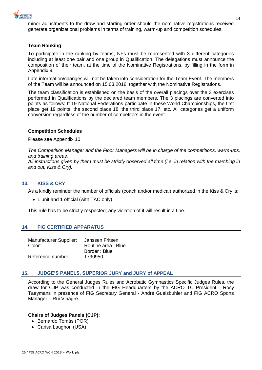

minor adjustments to the draw and starting order should the nominative registrations received generate organizational problems in terms of training, warm-up and competition schedules.

## **Team Ranking**

To participate in the ranking by teams, NFs must be represented with 3 different categories including at least one pair and one group in Qualification. The delegations must announce the composition of their team, at the time of the Nominative Registrations, by filling in the form in Appendix 9.

Late information/changes will not be taken into consideration for the Team Event. The members of the Team will be announced on 15.03.2018, together with the Nominative Registrations.

The team classification is established on the basis of the overall placings over the 3 exercises performed in Qualifications by the declared team members. The 3 placings are converted into points as follows: If 19 National Federations participate in these World Championships, the first place get 19 points, the second place 18, the third place 17, etc. All categories get a uniform conversion regardless of the number of competitors in the event.

## **Competition Schedules**

Please see Appendix 10.

*The Competition Manager and the Floor Managers will be in charge of the competitions, warm-ups, and training areas. All instructions given by them must be strictly observed all time (i.e. in relation with the marching in and out, Kiss & Cry).*

## **13. KISS & CRY**

As a kindly reminder the number of officials (coach and/or medical) authorized in the Kiss & Cry is:

• 1 unit and 1 official (with TAC only)

This rule has to be strictly respected; any violation of it will result in a fine.

## **14. FIG CERTIFIED APPARATUS**

| Manufacturer Supplier: | Janssen Fritsen     |
|------------------------|---------------------|
| Color:                 | Routine area : Blue |
|                        | Border: Blue        |
| Reference number:      | 1790950             |

## **15. JUDGE'S PANELS, SUPERIOR JURY and JURY of APPEAL**

According to the General Judges Rules and Acrobatic Gymnastics Specific Judges Rules, the draw for CJP was conducted in the FIG Headquarters by the ACRO TC President - Rosy Taeymans in presence of FIG Secretary General - André Gueisbuhler and FIG ACRO Sports Manager – Rui Vinagre.

## **Chairs of Judges Panels (CJP):**

- Bernardo Tomás (POR)
- Carisa Laughon (USA)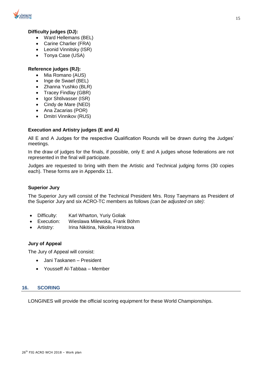

## **Difficulty judges (DJ):**

- Ward Hellemans (BEL)
- Carine Charlier (FRA)
- Leonid Vinnitsky (ISR)
- Tonya Case (USA)

## **Reference judges (RJ):**

- Mia Romano (AUS)
- Inge de Swaef (BEL)
- Zhanna Yushko (BLR)
- Tracey Findlay (GBR)
- Igor Shtilvasser (ISR)
- Cindy de Mare (NED)
- Ana Zacarias (POR)
- Dmitri Vinnikov (RUS)

## **Execution and Artistry judges (E and A)**

All E and A Judges for the respective Qualification Rounds will be drawn during the Judges' meetings.

In the draw of judges for the finals, if possible, only E and A judges whose federations are not represented in the final will participate.

Judges are requested to bring with them the Artistic and Technical judging forms (30 copies each). These forms are in Appendix 11.

## **Superior Jury**

The Superior Jury will consist of the Technical President Mrs. Rosy Taeymans as President of the Superior Jury and six ACRO-TC members as follows *(can be adjusted on site)*:

- Difficulty: Karl Wharton, Yuriy Goliak
- Execution: Wieslawa Milewska, Frank Böhm
- Artistry: Irina Nikitina, Nikolina Hristova

## **Jury of Appeal**

The Jury of Appeal will consist:

- Jani Taskanen President
- Yousseff Al-Tabbaa Member

## **16. SCORING**

LONGINES will provide the official scoring equipment for these World Championships.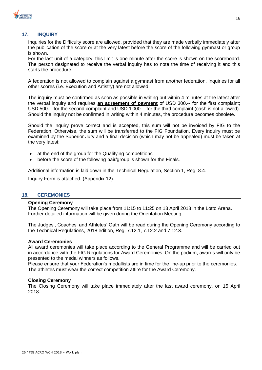

## **17. INQUIRY**

Inquiries for the Difficulty score are allowed, provided that they are made verbally immediately after the publication of the score or at the very latest before the score of the following gymnast or group is shown.

For the last unit of a category, this limit is one minute after the score is shown on the scoreboard. The person designated to receive the verbal inquiry has to note the time of receiving it and this starts the procedure.

A federation is not allowed to complain against a gymnast from another federation. Inquiries for all other scores (i.e. Execution and Artistry) are not allowed.

The inquiry must be confirmed as soon as possible in writing but within 4 minutes at the latest after the verbal inquiry and requires **an agreement of payment** of USD 300.-- for the first complaint; USD 500.-- for the second complaint and USD 1'000.-- for the third complaint (cash is not allowed). Should the inquiry not be confirmed in writing within 4 minutes, the procedure becomes obsolete.

Should the inquiry prove correct and is accepted, this sum will not be invoiced by FIG to the Federation. Otherwise, the sum will be transferred to the FIG Foundation. Every inquiry must be examined by the Superior Jury and a final decision (which may not be appealed) must be taken at the very latest:

- at the end of the group for the Qualifying competitions
- before the score of the following pair/group is shown for the Finals.

Additional information is laid down in the Technical Regulation, Section 1, Reg. 8.4.

Inquiry Form is attached. (Appendix 12).

## **18. CEREMONIES**

#### **Opening Ceremony**

The Opening Ceremony will take place from 11:15 to 11:25 on 13 April 2018 in the Lotto Arena. Further detailed information will be given during the Orientation Meeting.

The Judges', Coaches' and Athletes' Oath will be read during the Opening Ceremony according to the Technical Regulations, 2018 edition, Reg. 7.12.1, 7.12.2 and 7.12.3.

## **Award Ceremonies**

All award ceremonies will take place according to the General Programme and will be carried out in accordance with the FIG Regulations for Award Ceremonies. On the podium, awards will only be presented to the medal winners as follows.

Please ensure that your Federation's medallists are in time for the line-up prior to the ceremonies. The athletes must wear the correct competition attire for the Award Ceremony.

## **Closing Ceremony**

The Closing Ceremony will take place immediately after the last award ceremony, on 15 April 2018.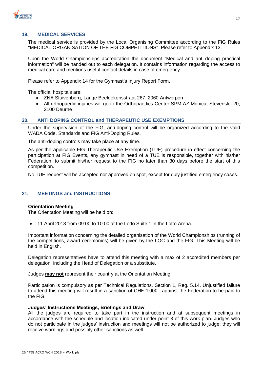

## **19. MEDICAL SERVICES**

The medical service is provided by the Local Organising Committee according to the FIG Rules "MEDICAL ORGANISATION OF THE FIG COMPETITIONS". Please refer to Appendix 13.

Upon the World Championships accreditation the document "Medical and anti-doping practical information" will be handed out to each delegation. It contains information regarding the access to medical care and mentions useful contact details in case of emergency.

Please refer to Appendix 14 for the Gymnast's Injury Report Form.

The official hospitals are:

- ZNA Stuivenberg, Lange Beeldekensstraat 267, 2060 Antwerpen
- All orthopaedic injuries will go to the Orthopaedics Center SPM AZ Monica, Stevenslei 20, 2100 Deurne

#### **20. ANTI DOPING CONTROL and THERAPEUTIC USE EXEMPTIONS**

Under the supervision of the FIG, anti-doping control will be organized according to the valid WADA Code, Standards and FIG Anti-Doping Rules.

The anti-doping controls may take place at any time.

As per the applicable FIG Therapeutic Use Exemption (TUE) procedure in effect concerning the participation at FIG Events, any gymnast in need of a TUE is responsible, together with his/her Federation, to submit his/her request to the FIG no later than 30 days before the start of this competition.

No TUE request will be accepted nor approved on spot, except for duly justified emergency cases.

## **21. MEETINGS and INSTRUCTIONS**

#### **Orientation Meeting**

The Orientation Meeting will be held on:

11 April 2018 from 09:00 to 10:00 at the Lotto Suite 1 in the Lotto Arena.

Important information concerning the detailed organisation of the World Championships (running of the competitions, award ceremonies) will be given by the LOC and the FIG. This Meeting will be held in English.

Delegation representatives have to attend this meeting with a max of 2 accredited members per delegation, including the Head of Delegation or a substitute.

Judges **may not** represent their country at the Orientation Meeting.

Participation is compulsory as per Technical Regulations, Section 1, Reg. 5.14. Unjustified failure to attend this meeting will result in a sanction of CHF 1'000.- against the Federation to be paid to the FIG.

#### **Judges' Instructions Meetings, Briefings and Draw**

All the judges are required to take part in the instruction and at subsequent meetings in accordance with the schedule and location indicated under point 3 of this work plan. Judges who do not participate in the judges' instruction and meetings will not be authorized to judge; they will receive warnings and possibly other sanctions as well.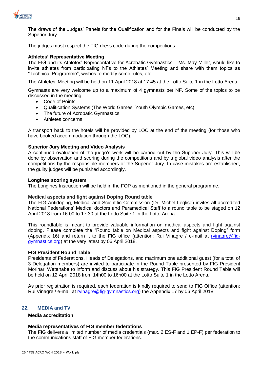

The draws of the Judges' Panels for the Qualification and for the Finals will be conducted by the Superior Jury.

The judges must respect the FIG dress code during the competitions.

## **Athletes' Representative Meeting**

The FIG and its Athletes' Representative for Acrobatic Gymnastics – Ms. May Miller, would like to invite athletes from participating NFs to the Athletes' Meeting and share with them topics as "Technical Programme", wishes to modify some rules, etc.

The Athletes' Meeting will be held on 11 April 2018 at 17:45 at the Lotto Suite 1 in the Lotto Arena.

Gymnasts are very welcome up to a maximum of 4 gymnasts per NF. Some of the topics to be discussed in the meeting:

- Code of Points
- Qualification Systems (The World Games, Youth Olympic Games, etc)
- The future of Acrobatic Gymnastics
- Athletes concerns

A transport back to the hotels will be provided by LOC at the end of the meeting (for those who have booked accommodation through the LOC).

## **Superior Jury Meeting and Video Analysis**

A continued evaluation of the judge's work will be carried out by the Superior Jury. This will be done by observation and scoring during the competitions and by a global video analysis after the competitions by the responsible members of the Superior Jury. In case mistakes are established, the guilty judges will be punished accordingly.

#### **Longines scoring system**

The Longines Instruction will be held in the FOP as mentioned in the general programme.

#### **Medical aspects and fight against Doping Round table**

The FIG Antidoping, Medical and Scientific Commission (Dr. Michel Leglise) invites all accredited National Federations' Medical doctors and Paramedical Staff to a round table to be staged on 12 April 2018 from 16:00 to 17:30 at the Lotto Suite 1 in the Lotto Arena.

This roundtable is meant to provide valuable information on medical aspects and fight against doping. Please complete the "Round table on Medical aspects and fight against Doping" form (Appendix 16) and return it to the FIG office (attention: Rui Vinagre / e-mail at [rvinagre@fig](mailto:rvinagre@fig-gymnastics.org)[gymnastics.org\)](mailto:rvinagre@fig-gymnastics.org) at the very latest by 06 April 2018.

#### **FIG President Round Table**

Presidents of Federations, Heads of Delegations, and maximum one additional guest (for a total of 3 Delegation members) are invited to participate in the Round Table presented by FIG President Morinari Watanabe to inform and discuss about his strategy. This FIG President Round Table will be held on 12 April 2018 from 14h00 to 16h00 at the Lotto Suite 1 in the Lotto Arena.

As prior registration is required, each federation is kindly required to send to FIG Office (attention: Rui Vinagre / e-mail at [rvinagre@fig-gymnastics.org\)](mailto:rvinagre@fig-gymnastics.org) the Appendix 17 by 06 April 2018

#### **22. MEDIA and TV**

## **Media accreditation**

#### **Media representatives of FIG member federations**

The FIG delivers a limited number of media credentials (max. 2 ES-F and 1 EP-F) per federation to the communications staff of FIG member federations.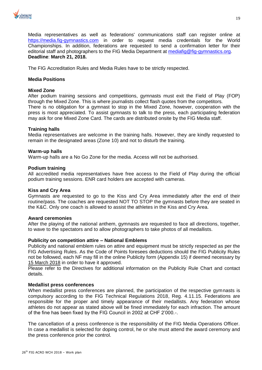

Media representatives as well as federations' communications staff can register online at [https://media.fig-gymnastics.com](https://media.fig-gymnastics.com/) in order to request media credentials for the World Championships. In addition, federations are requested to send a confirmation letter for their editorial staff and photographers to the FIG Media Department at [mediafig@fig-gymnastics.org.](file:///C:/Users/Rui/Downloads/mediafig@fig-gymnastics.org) **Deadline**: **March 21, 2018.**

The FIG Accreditation Rules and Media Rules have to be strictly respected.

## **Media Positions**

## **Mixed Zone**

After podium training sessions and competitions, gymnasts must exit the Field of Play (FOP) through the Mixed Zone. This is where journalists collect flash quotes from the competitors. There is no obligation for a gymnast to stop in the Mixed Zone, however, cooperation with the press is most appreciated. To assist gymnasts to talk to the press, each participating federation may ask for one Mixed Zone Card. The cards are distributed onsite by the FIG Media staff.

## **Training halls**

Media representatives are welcome in the training halls. However, they are kindly requested to remain in the designated areas (Zone 10) and not to disturb the training.

## **Warm-up halls**

Warm-up halls are a No Go Zone for the media. Access will not be authorised.

## **Podium training**

All accredited media representatives have free access to the Field of Play during the official podium training sessions. ENR card holders are accepted with cameras.

## **Kiss and Cry Area**

Gymnasts are requested to go to the Kiss and Cry Area immediately after the end of their routine/pass. The coaches are requested NOT TO STOP the gymnasts before they are seated in the K&C. Only one coach is allowed to assist the athletes in the Kiss and Cry Area.

## **Award ceremonies**

After the playing of the national anthem, gymnasts are requested to face all directions, together, to wave to the spectators and to allow photographers to take photos of all medallists.

## **Publicity on competition attire – National Emblems**

Publicity and national emblem rules on attire and equipment must be strictly respected as per the FIG Advertising Rules. As the Code of Points foresees deductions should the FIG Publicity Rules not be followed, each NF may fill in the online Publicity form (Appendix 15) if deemed necessary by 15 March 2018 in order to have it approved.

Please refer to the Directives for additional information on the Publicity Rule Chart and contact details.

## **Medallist press conferences**

When medallist press conferences are planned, the participation of the respective gymnasts is compulsory according to the FIG Technical Regulations 2018, Reg. 4.11.15. Federations are responsible for the proper and timely appearance of their medallists. Any federation whose athletes do not appear as stated above will be fined immediately for each infraction. The amount of the fine has been fixed by the FIG Council in 2002 at CHF 2'000.-.

The cancellation of a press conference is the responsibility of the FIG Media Operations Officer. In case a medallist is selected for doping control, he or she must attend the award ceremony and the press conference prior the control.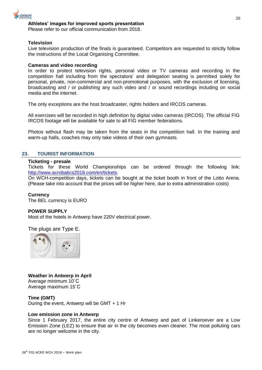

## **Athletes' images for improved sports presentation**

Please refer to our official communication from 2018.

#### **Television**

Live television production of the finals is guaranteed. Competitors are requested to strictly follow the instructions of the Local Organising Committee.

## **Cameras and video recording**

In order to protect television rights, personal video or TV cameras and recording in the competition hall including from the spectators' and delegation seating is permitted solely for personal, private, non-commercial and non-promotional purposes, with the exclusion of licensing, broadcasting and / or publishing any such video and / or sound recordings including on social media and the internet.

The only exceptions are the host broadcaster, rights holders and IRCOS cameras.

All exercises will be recorded in high definition by digital video cameras (IRCOS). The official FIG IRCOS footage will be available for sale to all FIG member federations.

Photos without flash may be taken from the seats in the competition hall. In the training and warm-up halls, coaches may only take videos of their own gymnasts.

#### **23. TOURIST INFORMATION**

#### **Ticketing - presale**

Tickets for these World Championships can be ordered through the following link: [http://www.acrobatics2018.com/en/tickets.](http://www.acrobatics2018.com/en/tickets)

On WCH-competition days, tickets can be bought at the ticket booth in front of the Lotto Arena. (Please take into account that the prices will be higher here, due to extra administration costs)

#### **Currency**

The BEL currency is EURO

#### **POWER SUPPLY**

Most of the hotels in Antwerp have 220V electrical power.

The plugs are Type E.



**Weather in Antwerp in April** Average minimum 10˚C Average maximum 15˚C

#### **Time (GMT)**

During the event, Antwerp will be GMT + 1 Hr

#### **Low emission zone in Antwerp**

Since 1 February 2017, the entire city centre of Antwerp and part of Linkeroever are a Low Emission Zone (LEZ) to ensure that air in the city becomes even cleaner. The most polluting cars are no longer welcome in the city.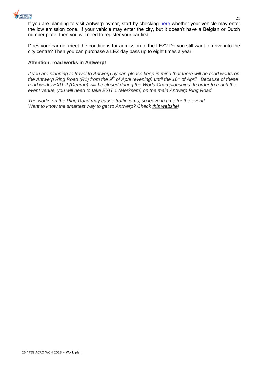

If you are planning to visit Antwerp by car, start by checking [here](https://lez.antwerpen.be/?Taal=EN) whether your vehicle may enter the low emission zone. If your vehicle may enter the city, but it doesn't have a Belgian or Dutch number plate, then you will need to register your car first.

Does your car not meet the conditions for admission to the LEZ? Do you still want to drive into the city centre? Then you can purchase a LEZ day pass up to eight times a year.

## **Attention: road works in Antwerp!**

*If you are planning to travel to Antwerp by car, please keep in mind that there will be road works on the Antwerp Ring Road (R1) from the 9th of April (evening) until the 16th of April. Because of these road works EXIT 2 (Deurne) will be closed during the World Championships. In order to reach the event venue, you will need to take EXIT 1 (Merksem) on the main Antwerp Ring Road.*

*The works on the Ring Road may cause traffic jams, so leave in time for the event! Want to know the smartest way to get to Antwerp? Check [this website!](https://www.slimnaarantwerpen.be/en/home)*